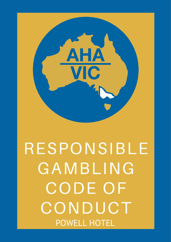

# RESPONSIBLE GAMBLING CODE OF CONDUCT POWELL HOTEL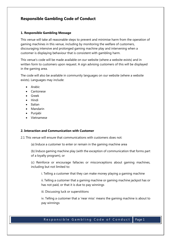# **Responsible Gambling Code of Conduct**

#### **1. Responsible Gambling Message**

This venue will take all reasonable steps to prevent and minimise harm from the operation of gaming machines in this venue, including by monitoring the welfare of customers, discouraging intensive and prolonged gaming machine play and intervening when a customer is displaying behaviour that is consistent with gambling harm.

This venue's code will be made available on our website (where a website exists) and in written form to customers upon request. A sign advising customers of this will be displayed in the gaming area.

The code will also be available in community languages on our website (where a website exists). Languages may include:

- Arabic
- Cantonese
- Greek
- Hindi
- Italian
- Mandarin
- Punjabi
- Vietnamese

#### **2. Interaction and Communication with Customer**

2.1 This venue will ensure that communications with customers does not:

(a) Induce a customer to enter or remain in the gaming machine area

(b) Induce gaming machine play (with the exception of communication that forms part of a loyalty program), or

(c) Reinforce or encourage fallacies or misconceptions about gaming machines, including but not limited to:

i. Telling a customer that they can make money playing a gaming machine

ii. Telling a customer that a gaming machine or gaming machine jackpot has or has not paid, or that it is due to pay winnings

iii. Discussing luck or superstitions

iv. Telling a customer that a 'near miss' means the gaming machine is about to pay winnings

# Responsible Gambling Code of Conduct Page 1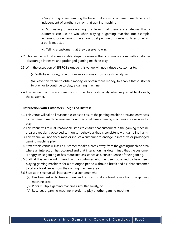v. Suggesting or encouraging the belief that a spin on a gaming machine is not independent of another spin on that gaming machine

vi. Suggesting or encouraging the belief that there are strategies that a customer can use to win when playing a gaming machine (for example, increasing or decreasing the amount bet per line or number of lines on which a bet is made), or

vii. Telling a customer that they deserve to win.

- 2.2 This venue will take reasonable steps to ensure that communications with customer discourage intensive and prolonged gaming machine play.
- 2.3 With the exception of EFTPOS signage, this venue will not induce a customer to:
	- (a) Withdraw money, or withdraw more money, from a cash facility, or
	- (b) Leave this venue to obtain money, or obtain more money, to enable that customer to play, or to continue to play, a gaming machine.
- 2.4 This venue may however direct a customer to a cash facility when requested to do so by the customer.

#### **3.Interaction with Customers – Signs of Distress**

- 3.1 This venue will take all reasonable steps to ensure the gaming machine area and entrances to the gaming machine area are monitored at all times gaming machines are available for play.
- 3.2 This venue will take all reasonable steps to ensure that customers in the gaming machine area are regularly observed to monitor behaviour that is consistent with gambling harm.
- 3.3 This venue will not encourage or induce a customer to engage in intensive or prolonged gaming machine play.
- 3.4 Staff at this venue will ask a customer to take a break away from the gaming machine area where an interaction has occurred and that interaction has determined that the customer is angry while gaming or has requested assistance as a consequence of their gaming.
- 3.5 Staff at this venue will interact with a customer who has been observed to have been playing gaming machines for a prolonged period without a break and ask that customer to take a break away from the gaming machine area.
- 3.6 Staff at this venue will interact with a customer who:
	- (a) Has been asked to take a break and refuses to take a break away from the gaming machine area
	- (b) Plays multiple gaming machines simultaneously, or
	- (c) Reserves a gaming machine in order to play another gaming machine.

## Responsible Gambling Code of Conduct | Page 2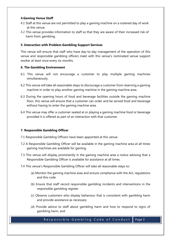#### **4.Gaming Venue Staff**

- 4.1 Staff at this venue are not permitted to play a gaming machine on a rostered day of work at this venue.
- 4.2 This venue provides information to staff so that they are aware of their increased risk of harm from gambling.

#### **5. Interaction with Problem Gambling Support Services**

This venue will ensure that staff who have day-to-day management of the operation of this venue and responsible gambling officers meet with this venue's nominated venue support worker at least once every six months.

#### **6. The Gambling Environment**

- 6.1 This venue will not encourage a customer to play multiple gaming machines simultaneously.
- 6.2 This venue will take all reasonable steps to discourage a customer from reserving a gaming machine in order to play another gaming machine in the gaming machine area.
- 6.3 During the opening hours of food and beverage facilities outside the gaming machine floor, this venue will ensure that a customer can order and be served food and beverage without having to enter the gaming machine area.
- 6.4 This venue may offer a customer seated at or playing a gaming machine food or beverage provided it is offered as part of an interaction with that customer.

#### **7. Responsible Gambling Officer**

- 7.1 Responsible Gambling Officers have been appointed at this venue.
- 7.2 A Responsible Gambling Officer will be available in the gaming machine area at all times gaming machines are available for gaming.
- 7.3 This venue will display prominently in the gaming machine area a notice advising that a Responsible Gambling Officer is available for assistance at all times.
- 7.4 This venue's Responsible Gambling Officer will take all reasonable steps to:
	- (a) Monitor the gaming machine area and ensure compliance with the Act, regulations and this code
	- (b) Ensure that staff record responsible gambling incidents and interventions in the responsible gambling register
	- (c) Observe customers who display behaviour that is consistent with gambling harm and provide assistance as necessary
	- (d) Provide advice to staff about gambling harm and how to respond to signs of gambling harm, and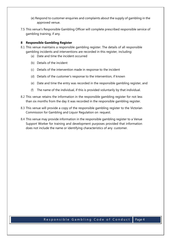- (e) Respond to customer enquiries and complaints about the supply of gambling in the approved venue.
- 7.5 This venue's Responsible Gambling Officer will complete prescribed responsible service of gambling training, if any.

#### **8 Responsible Gambling Register**

- 8.1 This venue maintains a responsible gambling register. The details of all responsible gambling incidents and interventions are recorded in this register, including:
	- (a) Date and time the incident occurred
	- (b) Details of the incident
	- (c) Details of the intervention made in response to the incident
	- (d) Details of the customer's response to the intervention, if known
	- (e) Date and time the entry was recorded in the responsible gambling register, and
	- (f) The name of the individual, if this is provided voluntarily by that individual.
- 8.2 This venue retains the information in the responsible gambling register for not less than six months from the day it was recorded in the responsible gambling register.
- 8.3 This venue will provide a copy of the responsible gambling register to the Victorian Commission for Gambling and Liquor Regulation on request.
- 8.4 This venue may provide information in the responsible gambling register to a Venue Support Worker for training and development purposes provided that information does not include the name or identifying characteristics of any customer.

## Responsible Gambling Code of Conduct | Page 4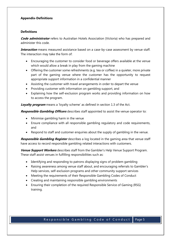#### **Appendix-Definitions**

#### **Definitions**

**Code administrator** refers to Australian Hotels Association (Victoria) who has prepared and administer this code.

**Interaction** means measured assistance based on a case-by-case assessment by venue staff. The interaction may take the form of:

- Encouraging the customer to consider food or beverage offers available at the venue which would allow a break in play from the gaming machine
- Offering the customer some refreshments (e.g. tea or coffee) in a quieter, more private part of the gaming venue where the customer has the opportunity to request appropriate support information in a confidential manner
- Assisting the customer with travel arrangements in order to depart the venue
- Providing customer with information on gambling support, and
- Explaining how the self-exclusion program works and providing information on how to access the program.

**Loyalty program** means a 'loyalty scheme' as defined in section 1.3 of the Act.

**Responsible Gambling Officers** describes staff appointed to assist the venue operator to:

- Minimise gambling harm in the venue
- Ensure compliance with all responsible gambling regulatory and code requirements, and
- Respond to staff and customer enquiries about the supply of gambling in the venue.

**Responsible Gambling Register** describes a log located in the gaming area that venue staff have access to record responsible gambling related interactions with customers.

**Venue Support Workers** describes staff from the Gambler's Help Venue Support Program. These staff assist venues in fulfilling responsibilities such as:

- Identifying and responding to patrons displaying signs of problem gambling
- Raising awareness among venue staff about, and encouraging referrals to Gambler's Help services, self-exclusion programs and other community support services
- Meeting the requirements of their Responsible Gambling Codes of Conduct
- Creating and maintaining responsible gambling environments
- Ensuring their completion of the required Responsible Service of Gaming (RSG) training.